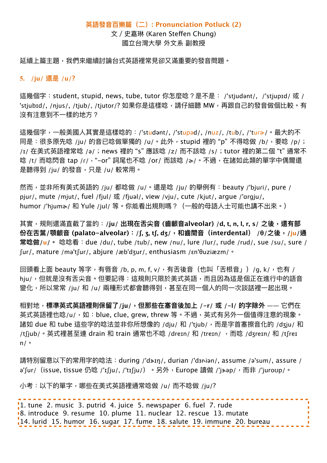## **英語發⾳百樂篇(⼆): Pronunciation Potluck (2)**

文 / 史嘉琳 (Karen Steffen Chung) 國立台灣⼤學 外⽂系 副教授

延續上篇主題,我們來繼續討論台式英語裡常見卻又滿重要的發音問題。

### **5. /ju/ 還是 /u/?**

這幾個字: student, stupid, news, tube, tutor 你怎麼唸?是不是: /'stjudənt/, /'stjupɪd/ 或 / 'stjubɪd/, /njus/, /tjub/, /tjutor/? 如果你是這樣唸, 請仔細聽 MW, 再跟自己的發音做個比較。有 沒有注意到不一樣的地方?

這幾個字,一般美國人其實是這樣唸的:/'studənt/, /'stupəd/, /nuz/, /tub/, /'tuɾʑ/。最大的不 同是:很多原先唸 /ju/ 的音已唸做單獨的 /u/。此外, stupid 裡的"p"不得唸做 /b/, 要唸 /p/; /ɪ/ 在美式英語裡常唸 /ə/; news 裡的 "s" 應該唸 /z/ 而不該唸 /s/; tutor 裡的第二個 "t" 通常不 唸 /t/ 而唸閃音 tap /r/, "-or" 詞尾也不唸 /or/ 而該唸 /a/。不過, 在諸如此類的單字中偶爾還 是聽得到 /ju/ 的發音, 只是 /u/ 較常用。

然而, 並非所有美式英語的 /ju/ 都唸做 /u/。還是唸 /ju/ 的舉例有: beauty /'bjuri/, pure / pjur/, mute /mjut/, fuel /fjul/ 或 /fjuəl/, view /vju/, cute /kjut/, argue /'ɑrgju/, humor /'hjum� / 和 Yule /jul/ 等。你能看出規則嗎?(一般的母語人士可能也講不出來。)

其實,規則還滿直截了當的:/ju/出現在舌尖音 (齒齦音alveolar) /d, t, n, l, r, s/ 之後,還有部 份在舌葉/顎齦音 (palato-alveolar): /ʃ, ʒ, tʃ, dʒ/, 和齒間音 (interdental) /θ/之後, /ju/通 **常唸做/u/。** 唸唸看:due /du/, tube /tub/, new /nu/, lure /lur/, rude /rud/, sue /su/, sure / ʃur/, mature /mə'tʃur/, abjure /æb'dʒur/, enthusiasm /ɛn'θuziæzm/。

回頭看上面 beauty 等字,有唇音 /b, p, m, f, v/,有舌後音(也叫「舌根音」)/g, k/,也有 / hju/,但就是沒有舌尖音。但要記得:這規則只限於美式英語,而且因為這是個正在進行中的語音 變化,所以常常 /ju/ 和 /u/ 兩種形式都會聽得到,甚至在同一個人的同一次談話裡一起出現。

相對地,**標準英式英語裡則保留了/ju/,但那些在塞⾳後加上 /-r/ 或 /-l/ 的字除外** —— 它們在 英式英語裡也唸/u/,如:blue, clue, grew, threw 等。不過,英式有另外一個值得注意的現象。 諸如 due 和 tube 這些字的唸法並非你所想像的 /dju/ 和 /'tjub/,而是字首塞擦音化的 /dʒju/ 和 /tʃjub/。英式裡甚至連 drain 和 train 通常也不唸 /dreɪn/ 和 /treɪn/ ,而唸 /dʒreɪn/ 和 /tʃreɪ n/。

請特別留意以下的常用字的唸法: during /'dɜ-ɪŋ/, durian /'dɜrɨən/, assume /ə'sum/, assure / ə'ʃur/ (issue, tissue 仍唸 /'ɪʃju/, /'tɪʃju/)。另外,Europe 讀做 /'jaəp/,而非 /'juroʊp/。

小考:以下的單字,哪些在美式英語裡通常唸做 /u/ 而不唸做 /iu/?

1. tune 2. music 3. putrid 4. juice 5. newspaper 6. fuel 7. rude 8. introduce 9. resume 10. plume 11. nuclear 12. rescue 13. mutate 14. lurid 15. humor 16. sugar 17. fume 18. salute 19. immune 20. bureau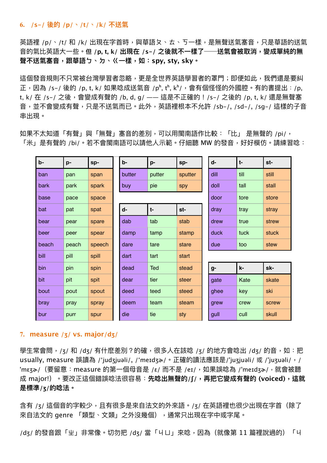#### **6. /s-/ 後的 /p/、/t/、/k/ 不送氣**

英語裡 /p/、/t/ 和 /k/ 出現在字首時,與華語夊、ㄊ、丂一樣,是無聲送氣塞音,只是華語的送氣 ⾳的氣比英語⼤⼀些。**但 /p, t, k/ 出現在 /s-/ 之後就不⼀樣了──送氣會被取消,變成單純的無 聲不送氣塞⾳,跟華語ㄅ、ㄉ、ㄍ⼀樣,如:spy, sty, sky。**

這個發音規則不只常被台灣學習者忽略,更是全世界英語學習者的罩門;即便如此,我們還是要糾 正, 因為 /s-/ 後的 /p, t, k/ 如果唸成送氣音 /pʰ, tʰ, kʰ/, 會有個怪怪的外國腔。有的書提出: /p, t, k/ 在 /s-/ 之後,會變成有聲的 /b, d, q/ —— 這是不正確的!/s-/ 之後的 /p, t, k/ 還是無聲塞 音,並不會變成有聲,只是不送氣而已。此外,英語裡根本不允許 /sb-/, /sd-/, /sq-/ 這樣的子音 串出現。

如果不太知道「有聲」與「無聲」塞音的差別,可以用閩南語作比較: 「比」 是無聲的 /pi/, 「米」是有聲的 /bi/。若不會閩南語可以請他人示範。仔細聽 MW 的發音,好好模仿。請練習唸:

| b-    | p-    | sp-    | b-     | p-         | sp-     | d-   | $t-$ | st-   |
|-------|-------|--------|--------|------------|---------|------|------|-------|
| ban   | pan   | span   | butter | putter     | sputter | dill | till | still |
| bark  | park  | spark  | buy    | pie        | spy     | doll | tall | stall |
| base  | pace  | space  |        |            |         | door | tore | store |
| bat   | pat   | spat   | d-     | $t-$       | st-     | dray | tray | stray |
| bear  | pear  | spare  | dab    | tab        | stab    | drew | true | strew |
| beer  | peer  | spear  | damp   | tamp       | stamp   | duck | tuck | stuck |
| beach | peach | speech | dare   | tare       | stare   | due  | too  | stew  |
| bill  | pill  | spill  | dart   | tart       | start   |      |      |       |
| bin   | pin   | spin   | dead   | <b>Ted</b> | stead   | g-   | k-   | sk-   |
| bit   | pit   | spit   | dear   | tier       | steer   | gate | Kate | skate |
| bout  | pout  | spout  | deed   | teed       | steed   | ghee | key  | ski   |
| bray  | pray  | spray  | deem   | team       | steam   | grew | crew | screw |
| bur   | purr  | spur   | die    | tie        | sty     | gull | cull | skull |

#### **7. measure /ʒ/ vs. major/dʒ/**

學生常會問,/ʒ/ 和 /dʒ/ 有什麼差別?的確,很多人在該唸 /ʒ/ 的地方會唸出 /dʒ/ 的音,如:把 usually, measure 誤讀為 /'judʒjuəli/, /'meɪdʒə·/。正確的讀法應該是/'juʒjuəli/ 或 /'juʒuəli/, / 'mεʒծ/(要留意:measure 的第一個母音是 /ε/ 而不是 /eɪ/,如果誤唸為 /'meɪdʒə<sub>/</sub>/,就會被聽 成 major!)。要改正這個錯誤唸法很容易:**先唸出無聲的/ʃ/,再把它變成有聲的 (voiced),這就 是標準/ʒ/的唸法。**

含有 /ʒ/ 這個音的字較少,且有很多是來自法文的外來語。/ʒ/ 在英語裡也很少出現在字首(除了 來自法文的 genre 「類型、文類」之外沒幾個),通常只出現在字中或字尾。

/dʒ/ 的發音跟「屮」非常像。切勿把 /dʒ/ 當「ㄐㄩ」來唸,因為(就像第 11 篇裡說過的)「ㄐ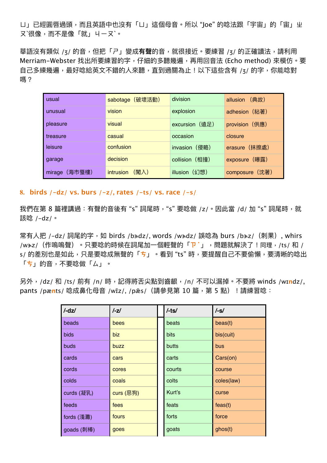ㄩ」已經圓唇過頭,⽽且英語中也沒有「ㄩ」這個⺟⾳。所以 "Joe" 的唸法跟「宇宙」的「宙」ㄓ 又`很像,而不是像「就」 니ーヌ`。

華語沒有類似 /ʒ/ 的音,但把「ㄕ」變成**有聲**的音,就很接近。要練習 /ʒ/ 的正確讀法,請利用 Merriam-Webster 找出所要練習的字,仔細的多聽幾遍,再用回音法 (Echo method) 來模仿。要 自己多練幾遍,最好唸給英文不錯的人來聽,直到過關為止!以下這些含有 /ʒ/ 的字,你能唸對 嗎?

| usual            | (破壞活動)<br>sabotage | division       | (典故)<br>allusion |
|------------------|--------------------|----------------|------------------|
| unusual          | vision             | explosion      | adhesion (粘著)    |
| pleasure         | visual             | excursion (遠足) | provision (供應)   |
| treasure         | casual             | occasion       | closure          |
| leisure          | confusion          | invasion (侵略)  | erasure (抹擦處)    |
| garage           | decision           | collision (相撞) | exposure (曝露)    |
| (海市蜃樓)<br>mirage | (闖入)<br>intrusion  | illusion (幻想)  | composure (沈著)   |

**8. birds /-dz/ vs. burs /-z/, rates /-ts/ vs. race /-s/**

我們在第 8 篇裡講過:有聲的音後有 "s" 詞尾時, "s" 要唸做 /z/。因此當 /d/ 加 "s" 詞尾時, 就 該唸 /-dz/。

常有人把 /-dz/ 詞尾的字, 如 birds /badz/, words /wadz/ 誤唸為 burs /baz/ (刺果), whirs /wɜ˞z/(作嗚嗚聲)。只要唸的時候在詞尾加⼀個輕聲的「**ㄗ˙**」,問題就解決了!同理,/ts/ 和 / s/ 的差別也是如此,只是要唸成無聲的「<mark>ち」。看到 "ts" 時,要提醒自己不要偷懶,要清晰的唸出</mark> 「**ㄘ**」的⾳,不要唸做「ㄙ」。

另外,/dz/ 和 /ts/ 前有 /n/ 時,記得將舌尖點到⿒齦,/n/ 不可以漏掉。不要將 winds /wɪ**n**dz/, pants /pænts/ 唸成鼻化母音 /wīz/, /pss/ (請參見第 10 篇, 第 5 點) !請練習唸:

| $/ -dz/$    | $I-zI$    | $/$ -ts $/$ | $/-s/$     |
|-------------|-----------|-------------|------------|
| beads       | bees      | beats       | beas(t)    |
| <b>bids</b> | biz       | bits        | bis(cuit)  |
| <b>buds</b> | buzz      | butts       | bus        |
| cards       | cars      | carts       | Cars(on)   |
| cords       | cores     | courts      | course     |
| colds       | coals     | colts       | coles(law) |
| curds (凝乳)  | curs (惡狗) | Kurt's      | curse      |
| feeds       | fees      | feats       | feas(t)    |
| fords (淺灘)  | fours     | forts       | force      |
| goads (刺棒)  | goes      | goats       | ghos(t)    |